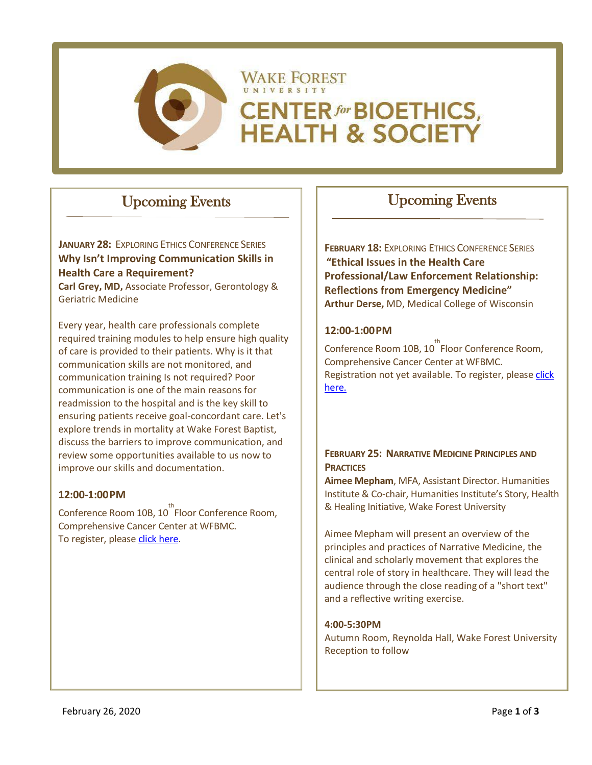

# Upcoming Events

**JANUARY 28:** EXPLORING ETHICS CONFERENCE SERIES **Why Isn't Improving Communication Skills in Health Care a Requirement?**

**Carl Grey, MD,** Associate Professor, Gerontology & Geriatric Medicine

Every year, health care professionals complete required training modules to help ensure high quality of care is provided to their patients. Why is it that communication skills are not monitored, and communication training Is not required? Poor communication is one of the main reasons for readmission to the hospital and is the key skill to ensuring patients receive goal-concordant care. Let's explore trends in mortality at Wake Forest Baptist, discuss the barriers to improve communication, and review some opportunities available to us now to improve our skills and documentation.

### **12:00-1:00PM**

Conference Room 10B, 10<sup>th</sup> Floor Conference Room, Comprehensive Cancer Center at WFBMC. To register, please [click here.](https://www.ncahec.net/courses-and-events/62451/exploring-ethics-why-isnt-improving-communication-skills-in-health-care-a-requirement)

# Upcoming Events

**FEBRUARY 18: EXPLORING ETHICS CONFERENCE SERIES "Ethical Issues in the Health Care Professional/Law Enforcement Relationship: Reflections from Emergency Medicine" Arthur Derse,** MD, Medical College of Wisconsin

#### **12:00-1:00PM**

Conference Room 10B, 10<sup>th</sup> Floor Conference Room, Comprehensive Cancer Center at WFBMC. Registration not yet available. To register, please [click](https://www.ncahec.net/courses-and-events?user_courses=0)  [here.](https://www.ncahec.net/courses-and-events?user_courses=0)

### **FEBRUARY 25: NARRATIVE MEDICINE PRINCIPLES AND PRACTICES**

**Aimee Mepham**, MFA, Assistant Director. Humanities Institute & Co-chair, Humanities Institute's Story, Health & Healing Initiative, Wake Forest University

Aimee Mepham will present an overview of the principles and practices of Narrative Medicine, the clinical and scholarly movement that explores the central role of story in healthcare. They will lead the audience through the close reading of a "short text" and a reflective writing exercise.

#### **4:00-5:30PM**

Autumn Room, Reynolda Hall, Wake Forest University Reception to follow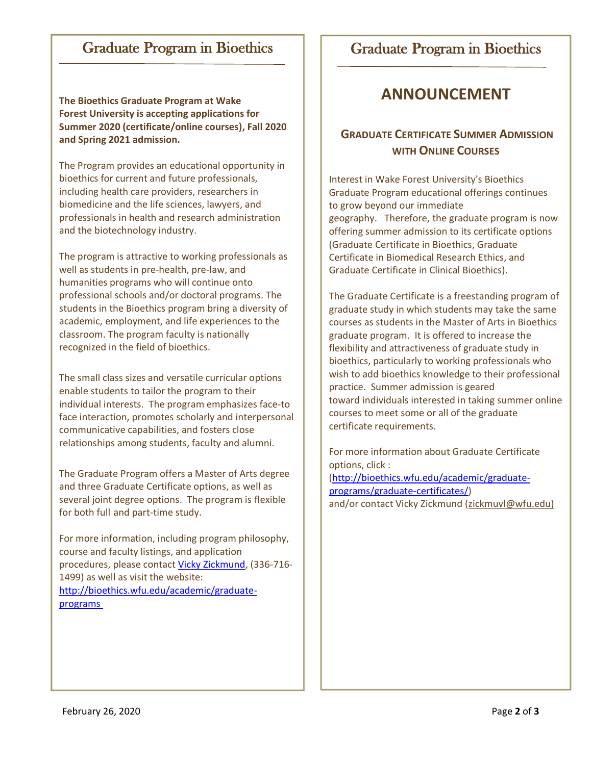# Graduate Program in Bioethics

**The Bioethics Graduate Program at Wake Forest University is accepting applications for Summer 2020 (certificate/online courses), Fall 2020 and Spring 2021 admission.**

The Program provides an educational opportunity in bioethics for current and future professionals, including health care providers, researchers in biomedicine and the life sciences, lawyers, and professionals in health and research administration and the biotechnology industry.

The program is attractive to working professionals as well as students in pre-health, pre-law, and humanities programs who will continue onto professional schools and/or doctoral programs. The students in the Bioethics program bring a diversity of academic, employment, and life experiences to the classroom. The program faculty is nationally recognized in the field of bioethics.

The small class sizes and versatile curricular options enable students to tailor the program to their individual interests. The program emphasizes face-to face interaction, promotes scholarly and interpersonal communicative capabilities, and fosters close relationships among students, faculty and alumni.

The Graduate Program offers a Master of Arts degree and three Graduate Certificate options, as well as several joint degree options. The program is flexible for both full and part-time study.

For more information, including program philosophy, course and faculty listings, and application procedures, please contact [Vicky Zickmund,](mailto:zickmuvl@wfu.edu) (336-716- 1499) as well as visit the website: [http://bioethics.wfu.edu/academic/graduate](http://bioethics.wfu.edu/academic/graduate-programs )[programs](http://bioethics.wfu.edu/academic/graduate-programs )

## Graduate Program in Bioethics

# **ANNOUNCEMENT**

## **GRADUATE CERTIFICATE SUMMER ADMISSION WITH ONLINE COURSES**

Interest in Wake Forest University's Bioethics Graduate Program educational offerings continues to grow beyond our immediate geography. Therefore, the graduate program is now offering summer admission to its certificate options (Graduate Certificate in Bioethics, Graduate Certificate in Biomedical Research Ethics, and Graduate Certificate in Clinical Bioethics).

The Graduate Certificate is a freestanding program of graduate study in which students may take the same courses as students in the Master of Arts in Bioethics graduate program. It is offered to increase the flexibility and attractiveness of graduate study in bioethics, particularly to working professionals who wish to add bioethics knowledge to their professional practice. Summer admission is geared toward individuals interested in taking summer online courses to meet some or all of the graduate certificate requirements.

For more information about Graduate Certificate options, click :

[\(http://bioethics.wfu.edu/academic/graduate](http://bioethics.wfu.edu/academic/graduate-%20programs/graduate-certificates/)[programs/graduate-certificates/\)](http://bioethics.wfu.edu/academic/graduate-%20programs/graduate-certificates/) and/or contact Vicky Zickmund [\(zickmuvl@wfu.edu\)](mailto:zickmuvl@wfu.edu)